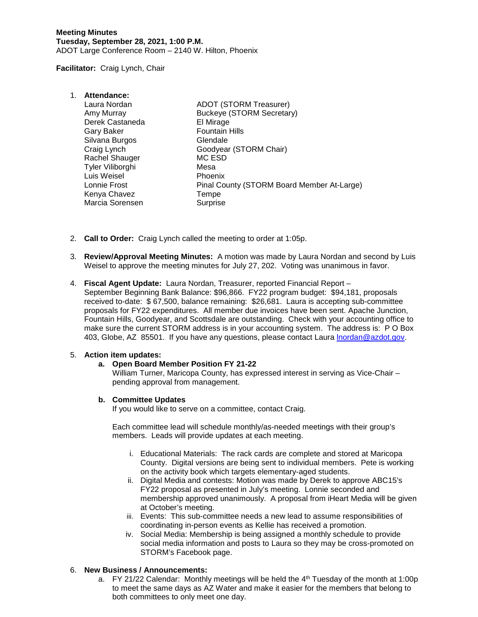**Facilitator:** Craig Lynch, Chair

| 1. | Attendance:      |                                            |
|----|------------------|--------------------------------------------|
|    | Laura Nordan     | <b>ADOT (STORM Treasurer)</b>              |
|    | Amy Murray       | <b>Buckeye (STORM Secretary)</b>           |
|    | Derek Castaneda  | El Mirage                                  |
|    | Gary Baker       | <b>Fountain Hills</b>                      |
|    | Silvana Burgos   | Glendale                                   |
|    | Craig Lynch      | Goodyear (STORM Chair)                     |
|    | Rachel Shauger   | MC ESD                                     |
|    | Tyler Viliborghi | Mesa                                       |
|    | Luis Weisel      | <b>Phoenix</b>                             |
|    | Lonnie Frost     | Pinal County (STORM Board Member At-Large) |
|    | Kenya Chavez     | Tempe                                      |
|    | Marcia Sorensen  | Surprise                                   |

- 2. **Call to Order:** Craig Lynch called the meeting to order at 1:05p.
- 3. **Review/Approval Meeting Minutes:** A motion was made by Laura Nordan and second by Luis Weisel to approve the meeting minutes for July 27, 202. Voting was unanimous in favor.
- 4. **Fiscal Agent Update:** Laura Nordan, Treasurer, reported Financial Report September Beginning Bank Balance: \$96,866. FY22 program budget: \$94,181, proposals received to-date: \$ 67,500, balance remaining: \$26,681. Laura is accepting sub-committee proposals for FY22 expenditures. All member due invoices have been sent. Apache Junction, Fountain Hills, Goodyear, and Scottsdale are outstanding. Check with your accounting office to make sure the current STORM address is in your accounting system. The address is: P O Box 403, Globe, AZ 85501. If you have any questions, please contact Laura [lnordan@azdot.gov.](mailto:lnordan@azdot.gov)

## 5. **Action item updates:**

## **a. Open Board Member Position FY 21-22**

William Turner, Maricopa County, has expressed interest in serving as Vice-Chair pending approval from management.

## **b. Committee Updates**

If you would like to serve on a committee, contact Craig.

Each committee lead will schedule monthly/as-needed meetings with their group's members. Leads will provide updates at each meeting.

- i. Educational Materials: The rack cards are complete and stored at Maricopa County. Digital versions are being sent to individual members. Pete is working on the activity book which targets elementary-aged students.
- ii. Digital Media and contests: Motion was made by Derek to approve ABC15's FY22 proposal as presented in July's meeting. Lonnie seconded and membership approved unanimously. A proposal from iHeart Media will be given at October's meeting.
- iii. Events: This sub-committee needs a new lead to assume responsibilities of coordinating in-person events as Kellie has received a promotion.
- iv. Social Media: Membership is being assigned a monthly schedule to provide social media information and posts to Laura so they may be cross-promoted on STORM's Facebook page.

## 6. **New Business / Announcements:**

a. FY 21/22 Calendar: Monthly meetings will be held the  $4<sup>th</sup>$  Tuesday of the month at 1:00p to meet the same days as AZ Water and make it easier for the members that belong to both committees to only meet one day.